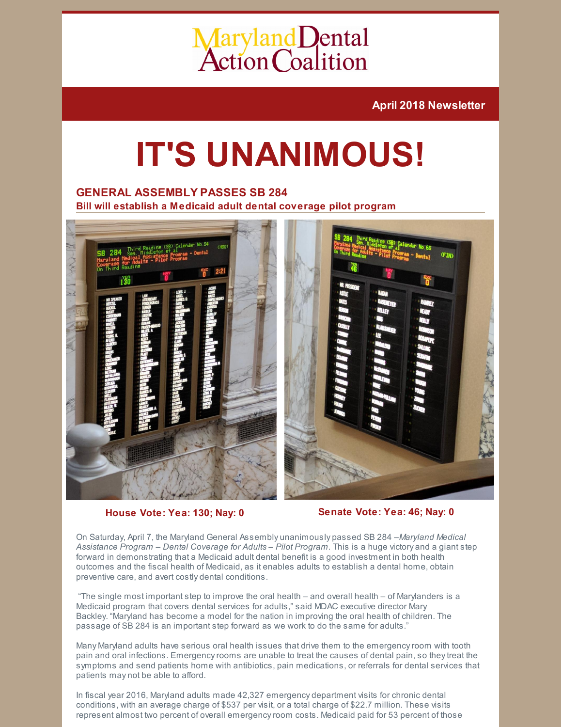# Maryland Dental<br>Action Coalition

**April 2018 Newsletter**

## **IT'S UNANIMOUS!**

## **GENERAL ASSEMBLY PASSES SB 284**

**Bill will establish a Medicaid adult dental coverage pilot program**



**House Vote: Yea: 130; Nay: 0 Senate Vote: Yea: 46; Nay: 0**

On Saturday, April 7, the Maryland General Assembly unanimously passed SB 284 –*Maryland Medical Assistance Program – Dental Coverage for Adults – Pilot Program.* This is a huge victory and a giant step forward in demonstrating that a Medicaid adult dental benefit is a good investment in both health outcomes and the fiscal health of Medicaid, as it enables adults to establish a dental home, obtain preventive care, and avert costly dental conditions.

"The single most important step to improve the oral health – and overall health – of Marylanders is a Medicaid program that covers dental services for adults," said MDAC executive director Mary Backley. "Maryland has become a model for the nation in improving the oral health of children. The passage of SB 284 is an important step forward as we work to do the same for adults."

Many Maryland adults have serious oral health issues that drive them to the emergencyroom with tooth pain and oral infections. Emergency rooms are unable to treat the causes of dental pain, so they treat the symptoms and send patients home with antibiotics, pain medications, or referrals for dental services that patients may not be able to afford.

In fiscal year 2016, Maryland adults made 42,327 emergency department visits for chronic dental conditions, with an average charge of \$537 per visit, or a total charge of \$22.7 million. These visits represent almost two percent of overall emergencyroom costs. Medicaid paid for 53 percent of those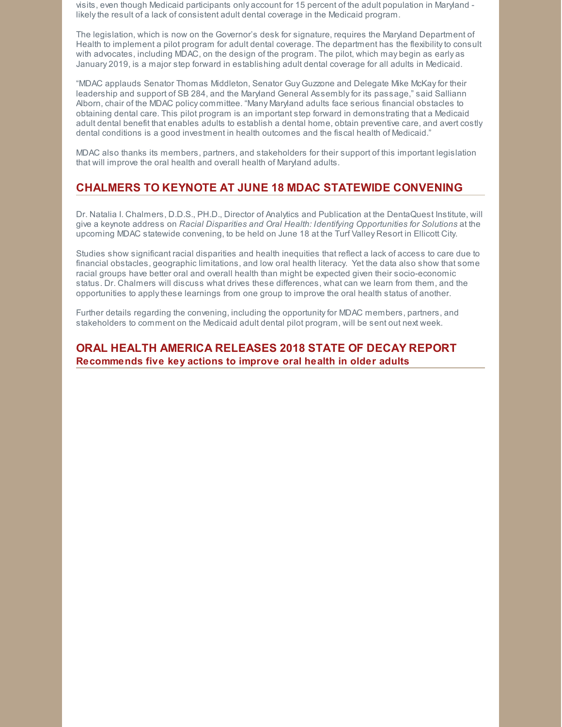visits, even though Medicaid participants only account for 15 percent of the adult population in Maryland likelythe result of a lack of consistent adult dental coverage in the Medicaid program.

The legislation, which is now on the Governor's desk for signature, requires the Maryland Department of Health to implement a pilot program for adult dental coverage. The department has the flexibilityto consult with advocates, including MDAC, on the design of the program. The pilot, which may begin as early as January 2019, is a major step forward in establishing adult dental coverage for all adults in Medicaid.

"MDAC applauds Senator Thomas Middleton, Senator Guy Guzzone and Delegate Mike McKayfor their leadership and support of SB 284, and the Maryland General Assemblyfor its passage," said Salliann Alborn, chair of the MDAC policycommittee. "Many Maryland adults face serious financial obstacles to obtaining dental care. This pilot program is an important step forward in demonstrating that a Medicaid adult dental benefit that enables adults to establish a dental home, obtain preventive care, and avert costly dental conditions is a good investment in health outcomes and the fiscal health of Medicaid."

MDAC also thanks its members, partners, and stakeholders for their support of this important legislation that will improve the oral health and overall health of Maryland adults.

## **CHALMERS TO KEYNOTE AT JUNE 18 MDAC STATEWIDE CONVENING**

Dr. Natalia I. Chalmers, D.D.S., PH.D., Director of Analytics and Publication at the DentaQuest Institute, will give a keynote address on *Racial Disparities and Oral Health: Identifying Opportunities for Solutions* at the upcoming MDAC statewide convening, to be held on June 18 at the Turf Valley Resort in Ellicott City.

Studies show significant racial disparities and health inequities that reflect a lack of access to care due to financial obstacles, geographic limitations, and low oral health literacy. Yet the data also show that some racial groups have better oral and overall health than might be expected given their socio-economic status. Dr. Chalmers will discuss what drives these differences, what can we learn from them, and the opportunities to applythese learnings from one group to improve the oral health status of another.

Further details regarding the convening, including the opportunityfor MDAC members, partners, and stakeholders to comment on the Medicaid adult dental pilot program, will be sent out next week.

## **ORAL HEALTH AMERICA RELEASES 2018 STATE OF DECAY REPORT Recommends five key actions to improve oral health in older adults**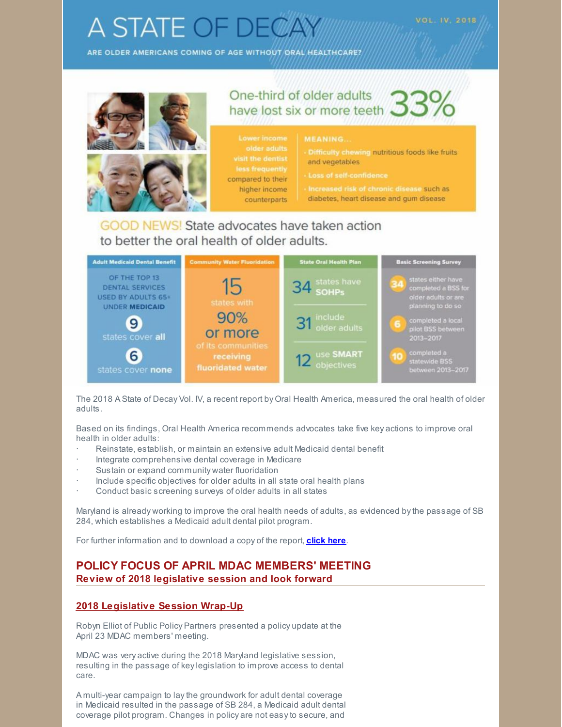## **A STATE OF DEC**

ARE OLDER AMERICANS COMING OF AGE WITHOUT ORAL HEALTHCARE?



## OD NEWS! State advocates have taken action to better the oral health of older adults.



The 2018 A State of Decay Vol. IV, a recent report by Oral Health America, measured the oral health of older adults.

Based on its findings, Oral Health America recommends advocates take five key actions to improve oral health in older adults:

- Reinstate, establish, or maintain an extensive adult Medicaid dental benefit
- Integrate comprehensive dental coverage in Medicare
- Sustain or expand community water fluoridation
- · Include specific objectives for older adults in all state oral health plans
- Conduct basic screening surveys of older adults in all states

Maryland is already working to improve the oral health needs of adults, as evidenced bythe passage of SB 284, which establishes a Medicaid adult dental pilot program.

For further information and to download a copy of the report, **[click](https://oralhealthamerica.org/astateofdecay/) here**.

## **POLICY FOCUS OF APRIL MDAC MEMBERS' MEETING Review of 2018 legislative session and look forward**

## **2018 Legislative Session Wrap-Up**

Robyn Elliot of Public Policy Partners presented a policy update at the April 23 MDAC members' meeting.

MDAC was very active during the 2018 Maryland legislative session, resulting in the passage of keylegislation to improve access to dental care.

A multi-year campaign to laythe groundwork for adult dental coverage in Medicaid resulted in the passage of SB 284, a Medicaid adult dental coverage pilot program. Changes in policy are not easyto secure, and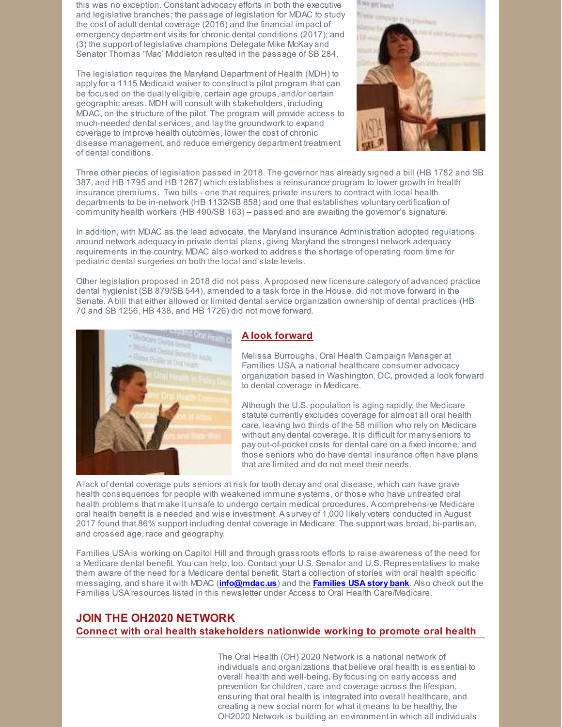this was no exception. Constant advocacy efforts in both the executive and legislative branches; the passage of legislation for MDAC to study the cost of adult dental coverage (2016) and the financial impact of emergency department visits for chronic dental conditions (2017); and (3) the support of legislative champions Delegate Mike McKay and Senator Thomas "Mac' Middleton resulted in the passage of SB 284.

The legislation requires the Maryland Department of Health (MDH) to applyfor a 1115 Medicaid waiver to construct a pilot program that can be focused on the dually eligible, certain age groups, and/or certain geographic areas. MDH will consult with stakeholders, including MDAC, on the structure of the pilot. The program will provide access to much-needed dental services, and laythe groundwork to expand coverage to improve health outcomes, lower the cost of chronic disease management, and reduce emergency department treatment of dental conditions.



Three other pieces of legislation passed in 2018. The governor has alreadysigned a bill (HB 1782 and SB 387, and HB 1795 and HB 1267) which establishes a reinsurance program to lower growth in health insurance premiums. Two bills - one that requires private insurers to contract with local health departments to be in-network (HB 1132/SB 858) and one that establishes voluntary certification of community health workers (HB 490/SB 163) – passed and are awaiting the governor's signature.

In addition, with MDAC as the lead advocate, the Maryland Insurance Administration adopted regulations around network adequacyin private dental plans, giving Maryland the strongest network adequacy requirements in the country. MDAC also worked to address the shortage of operating room time for pediatric dental surgeries on both the local and state levels.

Other legislation proposed in 2018 did not pass. A proposed new licensure category of advanced practice dental hygienist (SB 879/SB 544), amended to a task force in the House, did not move forward in the Senate. A bill that either allowed or limited dental service organization ownership of dental practices (HB 70 and SB 1256, HB 438, and HB 1726) did not move forward.



## **A look forward**

Melissa Burroughs, Oral Health Campaign Manager at Families USA, a national healthcare consumer advocacy organization based in Washington, DC, provided a look forward to dental coverage in Medicare.

Although the U.S. population is aging rapidly, the Medicare statute currently excludes coverage for almost all oral health care, leaving two thirds of the 58 million who rely on Medicare without any dental coverage. It is difficult for manyseniors to pay out-of-pocket costs for dental care on a fixed income, and those seniors who do have dental insurance often have plans that are limited and do not meet their needs.

A lack of dental coverage puts seniors at risk for tooth decay and oral disease, which can have grave health consequences for people with weakened immune systems, or those who have untreated oral health problems that make it unsafe to undergo certain medical procedures. A comprehensive Medicare oral health benefit is a needed and wise investment. A survey of 1,000 likelyvoters conducted in August 2017 found that 86% support including dental coverage in Medicare. The support was broad, bi-partisan, and crossed age, race and geography.

Families USA is working on Capitol Hill and through grassroots efforts to raise awareness of the need for a Medicare dental benefit. You can help, too. Contact your U.S. Senator and U.S. Representatives to make them aware of the need for a Medicare dental benefit. Start a collection of stories with oral health specific messaging, and share it with MDAC (**[info@mdac.us](mailto:info@mdac.us)**) and the **[Families](http://familiesusa.org/share-your-story) USA story bank**. Also check out the Families USA resources listed in this newsletter under Access to Oral Health Care/Medicare.

## **JOIN THE OH2020 NETWORK Connect with oral health stakeholders nationwide working to promote oral health**

The Oral Health (OH) 2020 Network is a national network of individuals and organizations that believe oral health is essential to overall health and well-being**.** Byfocusing on early access and prevention for children, care and coverage across the lifespan, ensuring that oral health is integrated into overall healthcare, and creating a new social norm for what it means to be healthy, the OH2020 Network is building an environment in which all individuals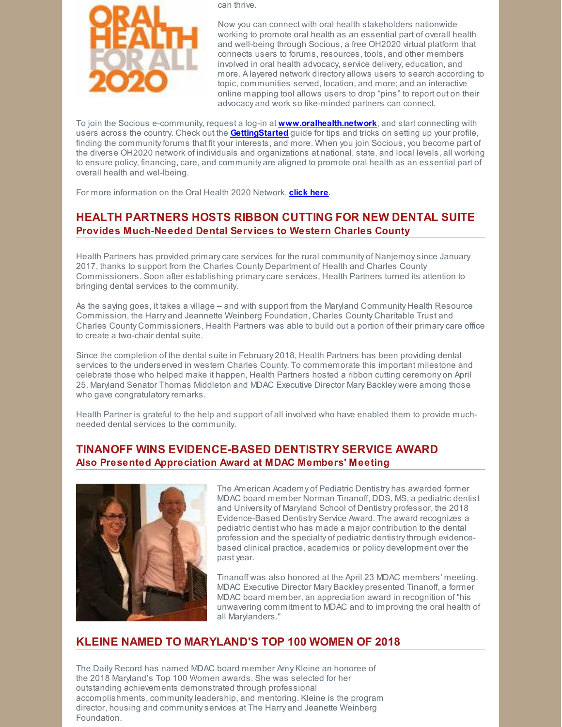

can thrive.

Now you can connect with oral health stakeholders nationwide working to promote oral health as an essential part of overall health and well-being through Socious, a free OH2020 virtual platform that connects users to forums, resources, tools, and other members involved in oral health advocacy, service delivery, education, and more. A layered network directory allows users to search according to topic, communities served, location, and more; and an interactive online mapping tool allows users to drop "pins" to report out on their advocacy and work so like-minded partners can connect.

To join the Socious e-community, request a log-in at **[www.oralhealth.network](http://www.oralhealth.network/)**, and start connecting with users across the country. Check out the **[GettingStarted](https://drive.google.com/open?id=0B8tMlFWb2skhcHF2Tlp0RC1mM0k)** guide for tips and tricks on setting up your profile, finding the communityforums that fit your interests, and more. When you join Socious, you become part of the diverse OH2020 network of individuals and organizations at national, state, and local levels, all working to ensure policy, financing, care, and community are aligned to promote oral health as an essential part of overall health and wel-lbeing.

For more information on the Oral Health 2020 Network, **[click](http://www.oralhealth.network/page/about-the-network) here**.

## **HEALTH PARTNERS HOSTS RIBBON CUTTING FOR NEW DENTAL SUITE Provides Much-Needed Dental Services to Western Charles County**

Health Partners has provided primarycare services for the rural community of Nanjemoysince January 2017, thanks to support from the Charles County Department of Health and Charles County Commissioners. Soon after establishing primarycare services, Health Partners turned its attention to bringing dental services to the community.

As the saying goes, it takes a village – and with support from the Maryland Community Health Resource Commission, the Harry and Jeannette Weinberg Foundation, Charles County Charitable Trust and Charles County Commissioners, Health Partners was able to build out a portion of their primarycare office to create a two-chair dental suite.

Since the completion of the dental suite in February 2018, Health Partners has been providing dental services to the underserved in western Charles County. To commemorate this important milestone and celebrate those who helped make it happen, Health Partners hosted a ribbon cutting ceremony on April 25. Maryland Senator Thomas Middleton and MDAC Executive Director Mary Backley were among those who gave congratulatory remarks.

Health Partner is grateful to the help and support of all involved who have enabled them to provide muchneeded dental services to the community.

## **TINANOFF WINS EVIDENCE-BASED DENTISTRY SERVICE AWARD Also Presented Appreciation Award at MDAC Members' Meeting**



The American Academy of Pediatric Dentistry has awarded former MDAC board member Norman Tinanoff, DDS, MS, a pediatric dentist and University of Maryland School of Dentistry professor, the 2018 Evidence-Based Dentistry Service Award. The award recognizes a pediatric dentist who has made a major contribution to the dental profession and the specialty of pediatric dentistrythrough evidencebased clinical practice, academics or policy development over the past year.

Tinanoff was also honored at the April 23 MDAC members' meeting. MDAC Executive Director Mary Backley presented Tinanoff, a former MDAC board member, an appreciation award in recognition of "his unwavering commitment to MDAC and to improving the oral health of all Marylanders."

## **KLEINE NAMED TO MARYLAND'S TOP 100 WOMEN OF 2018**

The Daily Record has named MDAC board member Amy Kleine an honoree of the 2018 Maryland's Top 100 Women awards. She was selected for her outstanding achievements demonstrated through professional accomplishments, communityleadership, and mentoring. Kleine is the program director, housing and communityservices at The Harry and Jeanette Weinberg Foundation.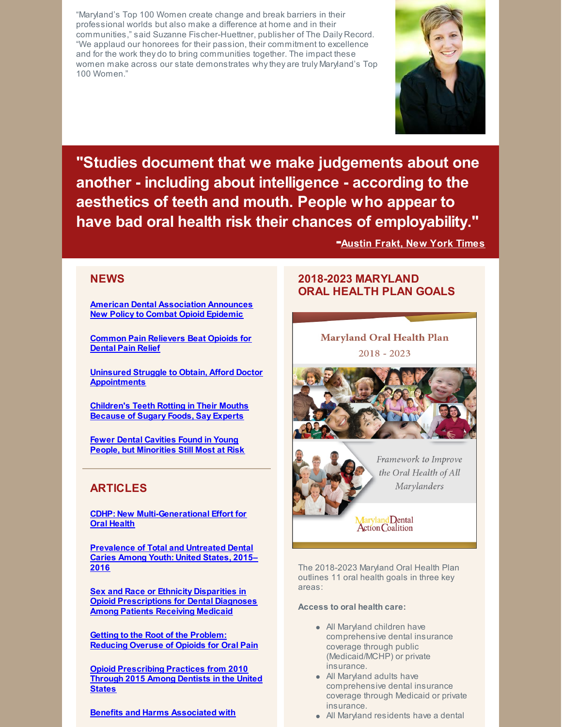"Maryland's Top 100 Women create change and break barriers in their professional worlds but also make a difference at home and in their communities," said Suzanne Fischer-Huettner, publisher of The Daily Record. "We applaud our honorees for their passion, their commitment to excellence and for the work they do to bring communities together. The impact these women make across our state demonstrates whythey are truly Maryland's Top 100 Women."



**"Studies document that we make judgements about one another - including about intelligence - according to the aesthetics of teeth and mouth. People who appear to have bad oral health risk their chances of employability."**

**-[Austin](https://www.nytimes.com/2018/02/19/upshot/how-dental-inequality-hurts-americans.html) Frakt, New York Times**

## **NEWS**

**American Dental [Association](https://www.ada.org/en/press-room/news-releases/2018-archives/march/american-dental-association-announces-new-policy-to-combat-opioid-epidemic) Announces New Policy to Combat Opioid Epidemic**

**Common Pain [Relievers](https://www.nytimes.com/2018/04/25/well/common-pain-relievers-beat-opioids-for-dental-pain-relief.html?mtrref=undefined&gwh=C192688971FFF416ED328A17E09699B6&gwt=pay) Beat Opioids for Dental Pain Relief**

**Uninsured Struggle to Obtain, Afford Doctor [Appointments](https://www.reuters.com/article/us-health-insurance/uninsured-struggle-to-obtain-afford-doctor-appointments-idUSKBN1HJ2V0)**

**[Children's](https://www.theguardian.com/society/2018/apr/06/childrens-teeth-rotting-in-their-mouths-because-of-sugary-foods-say-experts?CMP=share_btn_tw) Teeth Rotting in Their Mouths Because of Sugary Foods, Say Experts**

**Fewer Dental Cavities Found in Young People, but [Minorities](https://www.cnn.com/2018/04/13/health/prevalence-of-cavities-study/index.html?no-st=1523630106) Still Most at Risk**

## **ARTICLES**

**CDHP: New [Multi-Generational](https://www.cdhp.org/blog/505-new-multi-generational-effort-for-oral-health) Effort for Oral Health**

**[Prevalence](https://www.cdc.gov/nchs/products/databriefs/db307.htm) of Total and Untreated Dental Caries Among Youth: United States, 2015– 2016**

**Sex and Race or Ethnicity Disparities in Opioid [Prescriptions](http://jada.ada.org/pb/assets/raw/Health Advance/journals/adaj/06_ADAJ1061.pdf) for Dental Diagnoses Among Patients Receiving Medicaid**

**Getting to the Root of the Problem: [Reducing](https://www.chcs.org/getting-root-problem-reducing-overuse-opioids-oral-pain/?utm_source=CHCS+Email+Updates&utm_campaign=420e5522e9-EMAIL_CAMPAIGN_2018_03_28&utm_medium=email&utm_term=0_bbced451bf-420e5522e9-152128497) Overuse of Opioids for Oral Pain**

**Opioid [Prescribing](http://jada.ada.org/pb/assets/raw/Health Advance/journals/adaj/05_ADAJ1009.pdf) Practices from 2010 Through 2015 Among Dentists in the United States**

**Benefits and Harms [Associated](http://jada.ada.org/pb/assets/raw/Health Advance/journals/adaj/07_ADAJ1063.pdf) with**

## **2018-2023 MARYLAND ORAL HEALTH PLAN GOALS**

**Maryland Oral Health Plan**  $2018 - 2023$ 





Framework to Improve the Oral Health of All Marylanders

Maryland Dental<br>Action Coalition

The 2018-2023 Maryland Oral Health Plan outlines 11 oral health goals in three key areas:

**Access to oral health care:**

- All Maryland children have comprehensive dental insurance coverage through public (Medicaid/MCHP) or private insurance.
- All Maryland adults have comprehensive dental insurance coverage through Medicaid or private insurance.
- All Maryland residents have a dental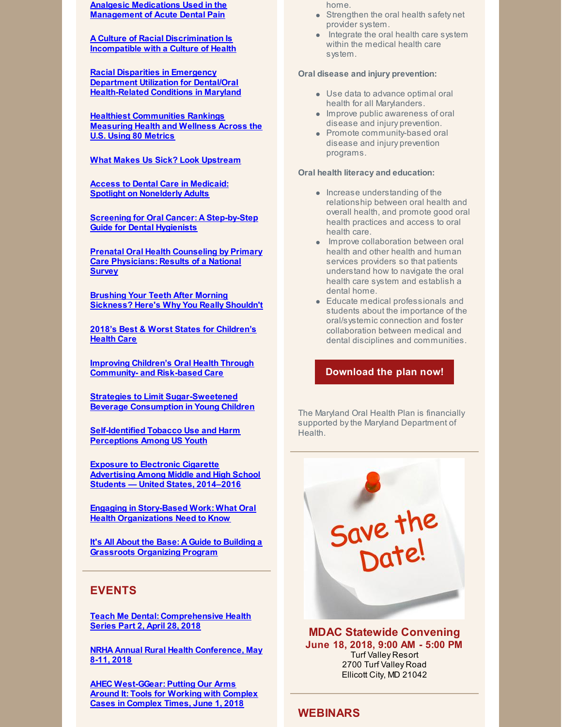**Analgesic Medications Used in the Management of Acute Dental Pain**

**A Culture of Racial [Discrimination](http://familiesusa.org/blog/2018/04/culture-racial-discrimination-incompatible-culture-health) Is Incompatible with a Culture of Health**

**Racial Disparities in Emergency Department Utilization for Dental/Oral [Health-Related](https://www.ncbi.nlm.nih.gov/pmc/articles/PMC5515044/) Conditions in Maryland**

**Healthiest [Communities](https://www.usnews.com/news/healthiest-communities?src=bn:AFO:MORNINGCONSULT:en:20180409-1) Rankings [Measuring](https://www.usnews.com/news/healthiest-communities?src=bn:AFO:MORNINGCONSULT:en:20180409-1) Health and Wellness Across the U.S. Using 80 Metrics**

#### **What Makes Us Sick? Look [Upstream](https://www.ted.com/talks/rishi_manchanda_what_makes_us_get_sick_look_upstream)**

**Access to Dental Care in Medicaid: Spotlight on [Nonelderly](https://www.kff.org/medicaid/issue-brief/access-to-dental-care-in-medicaid-spotlight-on-nonelderly-adults/) Adults**

**Screening for Oral Cancer: A [Step-by-Step](https://dentistryinsider.tamhsc.edu/screening-for-oral-cancer-a-step-by-step-guide-for-dental-hygienists/) Guide for Dental Hygienists**

**Prenatal Oral Health Counseling by Primary Care [Physicians:](https://link.springer.com/epdf/10.1007/s10995-018-2483-4?author_access_token=u3V2UtvrRgjj4aFZPu_ssfe4RwlQNchNByi7wbcMAY7cDqBbgt2pywo-StqsGGWlZ4IvK1z4YxpXYCjrsnqABxq6AR75L6Ymrzd1A9kY9A3HyKYeJZMsDri62tasYDzvWaORj3ULpKFHr3tNBOQcbA==) Results of a National Survey**

**Brushing Your Teeth After Morning [Sickness?](https://www.romper.com/p/brushing-your-teeth-after-morning-sickness-heres-why-you-really-shouldnt-8724125) Here's Why You Really Shouldn't**

**2018's Best & Worst States for [Children's](https://wallethub.com/edu/best-states-for-child-health/34455/) Health Care**

**Improving Children's Oral Health Through [Community-](http://policylab.chop.edu/blog/improving-children?s-oral-health-through-community-and-risk-based-care) and Risk-based Care**

**Strategies to Limit [Sugar-Sweetened](https://www.nap.edu/read/24910/chapter/1) Beverage [Consumption](https://www.nap.edu/read/24910/chapter/1) in Young Children**

**[Self-Identified](http://pediatrics.aappublications.org/content/early/2018/03/13/peds.2017-3523?sso=1&sso_redirect_count=1&nfstatus=401&nftoken=00000000-0000-0000-0000-000000000000&nfstatusdescription=ERROR:+No+local+token) Tobacco Use and Harm Perceptions Among US Youth**

**Exposure to Electronic Cigarette [Advertising](https://www.cdc.gov/mmwr/volumes/67/wr/mm6710a3.htm?s_cid=mm6710a3_e) Among Middle and High School Students — United States, 2014–2016**

**Engaging in Story-Based Work: What Oral Health [Organizations](http://familiesusa.org/product/engaging-story-based-work-what-oral-health-organizations-need-know) Need to Know**

**It's All About the Base: A Guide to Building a [Grassroots](https://www.communitycatalyst.org/resources/tools/grassroots) Organizing Program**

## **EVENTS**

**Teach Me Dental: [Comprehensive](http://teachmedental.com/?page_id=21158) Health Series Part 2, April 28, 2018**

**NRHA Annual Rural Health [Conference,](https://www.ruralhealthweb.org/events/event-details?eventId=18) May 8-11, 2018**

**AHEC [West-GGear:](http://www.123formbuilder.com/form-3057248/GGEAR-Registration-And-Participant-Information-Form) Putting Our Arms Around It: Tools for Working with Complex Cases in Complex Times, June 1, 2018**

home.

- Strengthen the oral health safety net provider system.
- Integrate the oral health care system within the medical health care system.

#### **Oral disease and injury prevention:**

- Use data to advance optimal oral health for all Marylanders.
- **Improve public awareness of oral** disease and injury prevention.
- Promote community-based oral disease and injury prevention programs.

#### **Oral health literacy and education:**

- Increase understanding of the relationship between oral health and overall health, and promote good oral health practices and access to oral health care.
- Improve collaboration between oral health and other health and human services providers so that patients understand how to navigate the oral health care system and establish a dental home.
- Educate medical professionals and students about the importance of the oral/systemic connection and foster collaboration between medical and dental disciplines and communities.

#### **[Download](http://www.mdac.us/2018_01_14/MD_OHP_2018_0102.pdf) the plan now!**

The Maryland Oral Health Plan is financially supported by the Maryland Department of Health.



**MDAC Statewide Convening June 18, 2018, 9:00 AM - 5:00 PM** Turf Valley Resort

2700 Turf Valley Road Ellicott City, MD 21042

## **WEBINARS**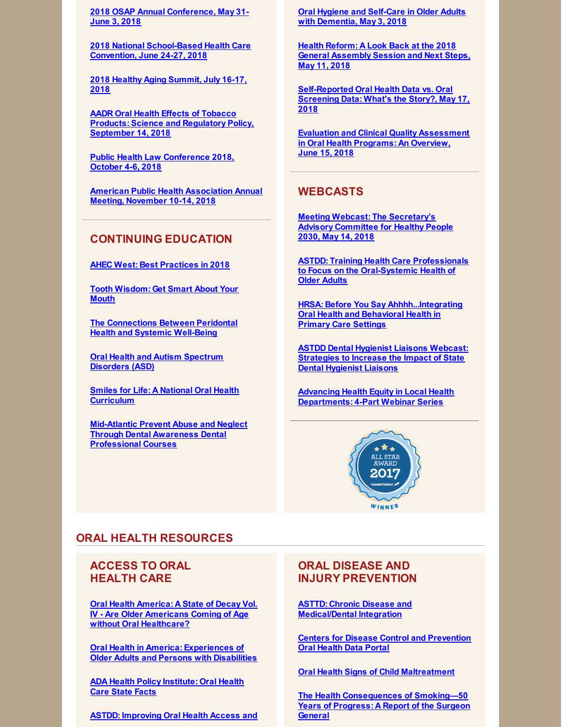**2018 OSAP Annual [Conference,](http://www.osap.org/page/2018AnnConfProgram) May 31- June 3, 2018**

**2018 National [School-Based](http://www.sbh4all.org/training/convention/) Health Care Convention, June 24-27, 2018**

**2018 Healthy Aging [Summit,](https://www.eventscribe.com/2018/ACPM-HAC/index.asp?launcher=1) July 16-17, 2018**

**AADR Oral Health Effects of Tobacco Products: Science and Regulatory Policy, [September](http://www.iadr.org/AADREffectsofTobacco) 14, 2018**

**Public Health Law [Conference](https://www.networkforphl.org/2018_conference/phlc18/?blm_aid=21725) 2018, October 4-6, 2018**

**American Public Health [Association](https://www.apha.org/events-and-meetings/apha-calendar/2018/apha-annual-meeting-and-expo) Annual Meeting, November 10-14, 2018**

## **CONTINUING EDUCATION**

**AHEC West: Best [Practices](http://files.constantcontact.com/81f84275201/39682b0d-aa38-4127-b464-200cb7b84a4e.pdf) in 2018**

**Tooth [Wisdom:](https://www.toothwisdomgetsmart.com/) Get Smart About Your Mouth**

**The [Connections](https://www.colgateoralhealthnetwork.com/webinar/the-connections-between-periodontal-health-and-systemic-well-being/) Between Peridontal Health and Systemic Well-Being**

**Oral Health and Autism [Spectrum](https://www.colgateoralhealthnetwork.com/webinar/oral-health-and-autism-spectrum-disorders-asd/) Disorders (ASD)**

**Smiles for Life: A National Oral Health [Curriculum](http://smilesforlifeoralhealth.org/buildcontent.aspx?tut=555&pagekey=62948&cbreceipt=0)**

**Mid-Atlantic Prevent Abuse and Neglect Through Dental Awareness Dental [Professional](https://www.theonlinelearningcenter.com/Catalog/Product.aspx?mid=5470) Courses**

**Oral Hygiene and Self-Care in Older Adults with [Dementia,](https://register.gotowebinar.com/register/3483716119957874946) May 3, 2018**

**Health Reform: A Look Back at the 2018 General [Assembly](http://events.r20.constantcontact.com/register/event?oeidk=a07ef9zvo3w33dfde97&llr=qw65kybab) Session and Next Steps, May 11, 2018**

**[Self-Reported](https://register.gotowebinar.com/register/7126456417032833537) Oral Health Data vs. Oral Screening Data: What's the Story?, May 17, 2018**

**Evaluation and Clinical Quality [Assessment](https://register.gotowebinar.com/register/410164405417044994) in Oral Health Programs: An Overview, June 15, 2018**

## **WEBCASTS**

**Meeting Webcast: The [Secretary's](https://health.gov/news/events/2018/04/meeting-webcast-the-secretarys-advisory-committee-for-healthy-people-2030/?source=govdelivery&utm_medium=email&utm_source=govdelivery) Advisory Committee for Healthy People 2030, May 14, 2018**

**ASTDD: Training Health Care Professionals to Focus on the [Oral-Systemic](https://astdd.adobeconnect.com/_a933923135/pqaw2gobxnl9/?proto=true) Health of Older Adults**

**HRSA: Before You Say [Ahhhh...Integrating](https://www.youtube.com/watch?v=HGeEyyRGYpM&feature=youtu.be) Oral Health and Behavioral Health in Primary Care Settings**

**ASTDD Dental Hygienist Liaisons Webcast: [Strategies](https://astdd.adobeconnect.com/_a933923135/pdy1noehiw4h/?proto=true) to Increase the Impact of State Dental Hygienist Liaisons**

**Advancing Health Equity in Local Health [Departments:](https://humanimpact.org/hipprojects/hegwebinars2017/?utm_source=April+Newsletter+Draft&utm_campaign=April+2018+Newsletter&utm_medium=email) 4-Part Webinar Series**



## **ORAL HEALTH RESOURCES**

## **ACCESS TO ORAL HEALTH CARE**

**Oral Health America: A State of Decay Vol. IV - Are Older Americans Coming of Age without Oral [Healthcare?](https://oralhealthamerica.org/astateofdecay/)**

**Oral Health in America: [Experiences](http://www.nasuad.org/sites/nasuad/files/NASUAD Oral Health in America.pdf) of Older Adults and Persons with Disabilities**

**ADA Health Policy [Institute:](https://www.ada.org/en/science-research/health-policy-institute/oral-health-care-projects) Oral Health Care State Facts**

**ASTDD: [Improving](http://www.astdd.org/docs/improving-oral-health-access-and-services-for-older-adults.pdf) Oral Health Access and**

## **ORAL DISEASE AND INJURY PREVENTION**

**ASTTD: Chronic Disease and [Medical/Dental](https://www.astdd.org/chronic-disease/) Integration**

**Centers for Disease Control and [Prevention](https://www.cdc.gov/oralhealthdata/index.html) Oral Health Data Portal**

**Oral Health Signs of Child [Maltreatment](http://hsicc.cmail20.com/t/ViewEmail/j/78C714B98ED96CE42540EF23F30FEDED/BD4A8E60F5F1CE747EEA1DAE616D4B3C)**

**The Health [Consequences](https://www.surgeongeneral.gov/library/reports/50-years-of-progress/index.html) of Smoking—50 Years of Progress: A Report of the Surgeon General**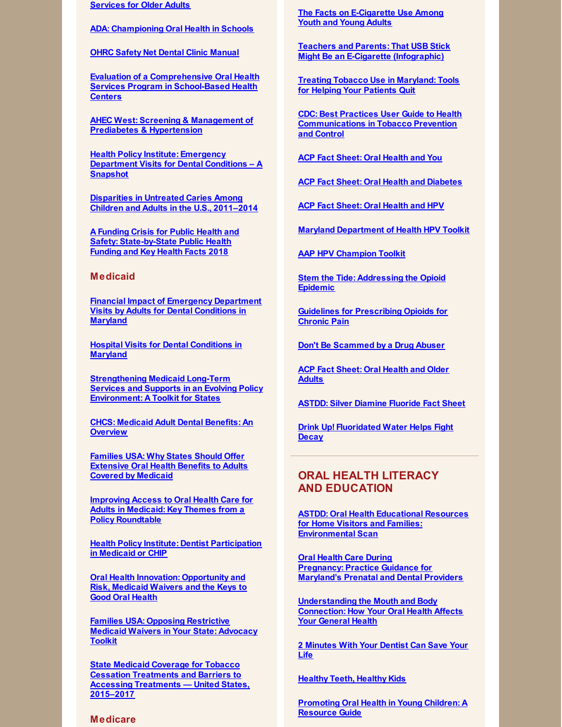**Services for Older Adults**

**ADA: [Championing](https://www.ada.org/en/public-programs/championing-oral-health-in-schools) Oral Health in Schools**

**OHRC Safety Net Dental Clinic [Manual](https://www.dentalclinicmanual.com/index.php)**

**Evaluation of a [Comprehensive](https://link.springer.com/article/10.1007/s10995-018-2478-1?utm_campaign=enews03152018&utm_medium=email&utm_source=govdelivery) Oral Health Services Program in School-Based Health Centers**

**AHEC West: Screening & Management of Prediabetes & [Hypertension](https://eliademy.com/catalog/catalog/product/view/sku/229adbfbf1)**

**Health Policy Institute: Emergency [Department](https://www.ada.org/~/media/ADA/Science and Research/HPI/Files/HPIgraphic_0218_2.pdf?la=en) Visits for Dental Conditions – A Snapshot**

**[Disparities](https://link.springer.com/epdf/10.1186/s12903-018-0493-7?author_access_token=FL9eGPSkRp5-4scxDYp-OW_BpE1tBhCbnbw3BuzI2ROJr1IKgLr2bueRVSv2xRfqeBpf9o5t5-Ak0Bl969nzLvMfdoD35ATU3_lC2ZJgABIg8qCDQafMRbDwf-MeLMcXgQRt6is8li_9pv7VvwXk6w==) in Untreated Caries Among Children and Adults in the U.S., 2011–2014**

**A Funding Crisis for Public Health and Safety: [State-by-State](http://healthyamericans.org/assets/files/TFAH-2018-InvestInAmericaRpt-FINAL.pdf) Public Health Funding and Key Health Facts 2018**

#### **Medicaid**

**Financial Impact of Emergency [Department](http://www.mdac.us/pdf/Financial Impact of Hospital Visits for Dental Conditions in MD Revised Legislative.pdf) Visits by Adults for Dental Conditions in Maryland**

**Hospital Visits for Dental [Conditions](http://www.mdac.us/pdf/MDAC Aggregate Report Final.pdf) in Maryland**

**[Strengthening](https://www.chcs.org/media/Strengthening-LTSS-Toolkit_120717.pdf) Medicaid Long-Term Services and Supports in an Evolving Policy Environment: A Toolkit for States**

**CHCS: [Medicaid](https://www.chcs.org/media/Adult-Oral-Health-Fact-Sheet_011618.pdf) Adult Dental Benefits: An Overview**

**Families USA: Why States Should Offer [Extensive](http://familiesusa.org/product/why-states-should-offer-extensive-oral-health-benefits-adults-covered-medicaid) Oral Health Benefits to Adults Covered by Medicaid**

**Improving Access to Oral Health Care for Adults in Medicaid: Key Themes from a Policy [Roundtable](https://www.kff.org/medicaid/report/improving-access-to-oral-health-care-for-adults-in-medicaid-key-themes-from-a-policy-roundtable/)**

**Health Policy Institute: Dentist [Participation](https://www.ada.org/~/media/ADA/Science and Research/HPI/Files/HPIgraphic_0318_1.pdf?la=en) in Medicaid or CHIP**

**Oral Health Innovation: [Opportunity](https://www.communitycatalyst.org/resources/publications/document/OH-innovation-and-1115-waivers_FINAL.pdf) and Risk, Medicaid Waivers and the Keys to Good Oral Health**

**Families USA: Opposing [Restrictive](http://familiesusa.org/product/opposing-restrictive-medicaid-waivers-your-state-advocacy-toolkit) Medicaid Waivers in Your State: Advocacy Toolkit**

**State Medicaid Coverage for Tobacco Cessation [Treatments](https://www.cdc.gov/mmwr/volumes/67/wr/mm6713a3.htm?s_cid=mm6713a3_w) and Barriers to Accessing Treatments — United States, 2015–2017**

#### **Medicare**

**The Facts on [E-Cigarette](https://e-cigarettes.surgeongeneral.gov/) Use Among Youth and [Young](https://e-cigarettes.surgeongeneral.gov/) Adults**

**Teachers and Parents: That USB Stick Might Be an E-Cigarette [\(Infographic\)](https://www.cdc.gov/tobacco/basic_information/e-cigarettes/pdfs/parent-teacher-ecig-508.pdf)**

**Treating Tobacco Use in [Maryland:](http://www.helppatientsquitmd.org/) Tools for Helping Your Patients Quit**

**CDC: Best Practices User Guide to Health [Communications](https://www.cdc.gov/tobacco/stateandcommunity/bp-health-communications/pdfs/health-communications-508.pdf) in Tobacco Prevention and Control**

**ACP Fact [Sheet:](https://www.acponline.org/system/files/documents/practice-resources/patient-resources/oral-health-and-you.pdf) Oral Health and You**

**ACP Fact Sheet: Oral Health and [Diabetes](https://www.acponline.org/system/files/documents/practice-resources/patient-resources/oral-health-and-diabetes.pdf)**

**ACP Fact [Sheet:](https://www.acponline.org/system/files/documents/practice-resources/patient-resources/oral-health-and-hpv.pdf) Oral Health and HPV**

**Maryland [Department](https://phpa.health.maryland.gov/cancer/Pages/HPV.aspx) of Health HPV Toolkit**

**AAP HPV [Champion](https://www.aap.org/en-us/advocacy-and-policy/aap-health-initiatives/immunizations/HPV-Champion-Toolkit/Pages/Printable-Resources.aspx) Toolkit**

**Stem the Tide: [Addressing](https://www.aha.org/system/files/2018-02/stem-tide-addressing-opioid-epidemic-toolkit.pdf) the Opioid Epidemic**

**Guidelines for [Prescribing](https://www.cdc.gov/drugoverdose/pdf/guidelines_factsheet-a.pdf) Opioids for Chronic Pain**

**Don't Be [Scammed](https://www.deadiversion.usdoj.gov/pubs/brochures/drugabuser.htm) by a Drug Abuser**

**ACP Fact [Sheet:](https://www.acponline.org/system/files/documents/practice-resources/patient-resources/oral-health-and-older-adults.pdf) Oral Health and Older Adults**

**ASTDD: Silver [Diamine](http://www.astdd.org/www/docs/sdf-fact-sheet-09-07-2017.pdf) Fluoride Fact Sheet**

**Drink Up! [Fluoridated](http://jada.ada.org/article/S0002-8177(15)00664-9/pdf) Water Helps Fight Decay**

## **ORAL HEALTH LITERACY AND EDUCATION**

**ASTDD: Oral Health Educational Resources for Home Visitors and Families: [Environmental](http://www.astdd.org/docs/home-visiting-environmental-scan-2018.pdf) Scan**

**Oral Health Care During [Pregnancy:](https://phpa.health.maryland.gov/oralhealth/Pages/Oral_Health_and_Pregnancy.aspx) Practice Guidance for Maryland's Prenatal and Dental Providers**

**[Understanding](http://www.worldoralhealthday.org/sites/default/files/assets/2018_WOHD-brochure-EN.pdf) the Mouth and Body Connection: How Your Oral Health Affects Your General Health**

**2 [Minutes](https://phpa.health.maryland.gov/oralhealth/Pages/hypertension.aspx) With Your Dentist Can Save Your Life**

**[Healthy](http://www.healthyteethhealthykids.org/) Teeth, Healthy Kids**

**[Promoting](https://www.mchoralhealth.org/PDFs/resguideyoungchildren.pdf) Oral Health in Young Children: A Resource Guide**